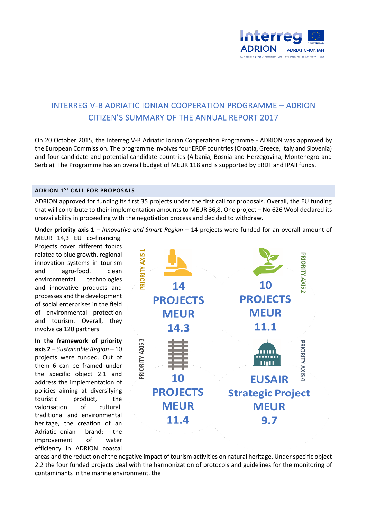

## INTERREG V-B ADRIATIC IONIAN COOPERATION PROGRAMME – ADRION CITIZEN'S SUMMARY OF THE ANNUAL REPORT 2017

On 20 October 2015, the Interreg V-B Adriatic Ionian Cooperation Programme - ADRION was approved by the European Commission. The programme involves four ERDF countries (Croatia, Greece, Italy and Slovenia) and four candidate and potential candidate countries (Albania, Bosnia and Herzegovina, Montenegro and Serbia). The Programme has an overall budget of MEUR 118 and is supported by ERDF and IPAII funds.

## **ADRION 1ST CALL FOR PROPOSALS**

ADRION approved for funding its first 35 projects under the first call for proposals. Overall, the EU funding that will contribute to their implementation amounts to MEUR 36,8. One project – No 626 Wool declared its unavailability in proceeding with the negotiation process and decided to withdraw.

**Under priority axis 1** – *Innovative and Smart Region* – 14 projects were funded for an overall amount of

MEUR 14,3 EU co-financing. Projects cover different topics related to blue growth, regional innovation systems in tourism and agro-food, clean environmental technologies and innovative products and processes and the development of social enterprises in the field of environmental protection and tourism. Overall, they involve ca 120 partners.

**In the framework of priority axis 2** – *Sustainable Region* – 10 projects were funded. Out of them 6 can be framed under the specific object 2.1 and address the implementation of policies aiming at diversifying touristic product, the valorisation of cultural, traditional and environmental heritage, the creation of an Adriatic-Ionian brand; the improvement of water efficiency in ADRION coastal



areas and the reduction of the negative impact of tourism activities on natural heritage. Under specific object 2.2 the four funded projects deal with the harmonization of protocols and guidelines for the monitoring of contaminants in the marine environment, the